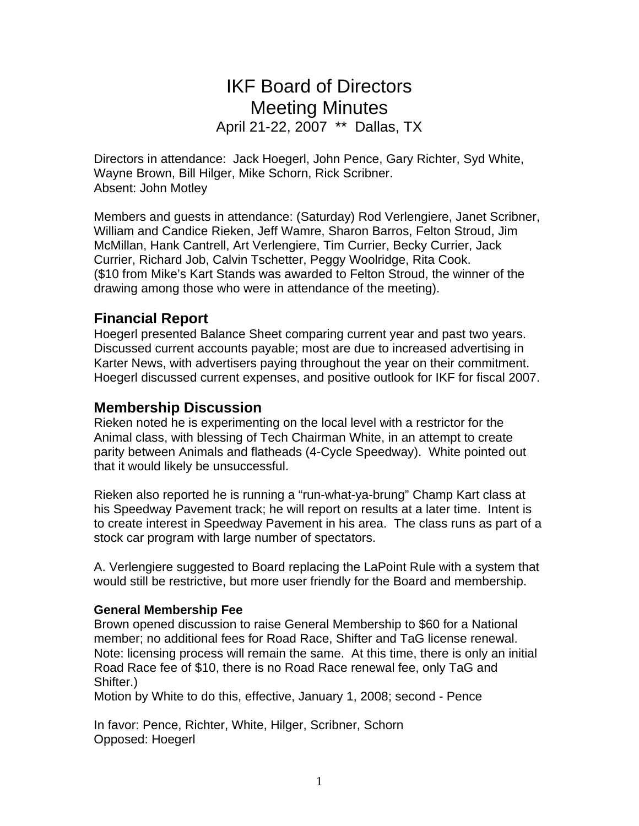# IKF Board of Directors Meeting Minutes April 21-22, 2007 \*\* Dallas, TX

Directors in attendance: Jack Hoegerl, John Pence, Gary Richter, Syd White, Wayne Brown, Bill Hilger, Mike Schorn, Rick Scribner. Absent: John Motley

Members and guests in attendance: (Saturday) Rod Verlengiere, Janet Scribner, William and Candice Rieken, Jeff Wamre, Sharon Barros, Felton Stroud, Jim McMillan, Hank Cantrell, Art Verlengiere, Tim Currier, Becky Currier, Jack Currier, Richard Job, Calvin Tschetter, Peggy Woolridge, Rita Cook. (\$10 from Mike's Kart Stands was awarded to Felton Stroud, the winner of the drawing among those who were in attendance of the meeting).

## **Financial Report**

Hoegerl presented Balance Sheet comparing current year and past two years. Discussed current accounts payable; most are due to increased advertising in Karter News, with advertisers paying throughout the year on their commitment. Hoegerl discussed current expenses, and positive outlook for IKF for fiscal 2007.

## **Membership Discussion**

Rieken noted he is experimenting on the local level with a restrictor for the Animal class, with blessing of Tech Chairman White, in an attempt to create parity between Animals and flatheads (4-Cycle Speedway). White pointed out that it would likely be unsuccessful.

Rieken also reported he is running a "run-what-ya-brung" Champ Kart class at his Speedway Pavement track; he will report on results at a later time. Intent is to create interest in Speedway Pavement in his area. The class runs as part of a stock car program with large number of spectators.

A. Verlengiere suggested to Board replacing the LaPoint Rule with a system that would still be restrictive, but more user friendly for the Board and membership.

## **General Membership Fee**

Brown opened discussion to raise General Membership to \$60 for a National member; no additional fees for Road Race, Shifter and TaG license renewal. Note: licensing process will remain the same. At this time, there is only an initial Road Race fee of \$10, there is no Road Race renewal fee, only TaG and Shifter.)

Motion by White to do this, effective, January 1, 2008; second - Pence

In favor: Pence, Richter, White, Hilger, Scribner, Schorn Opposed: Hoegerl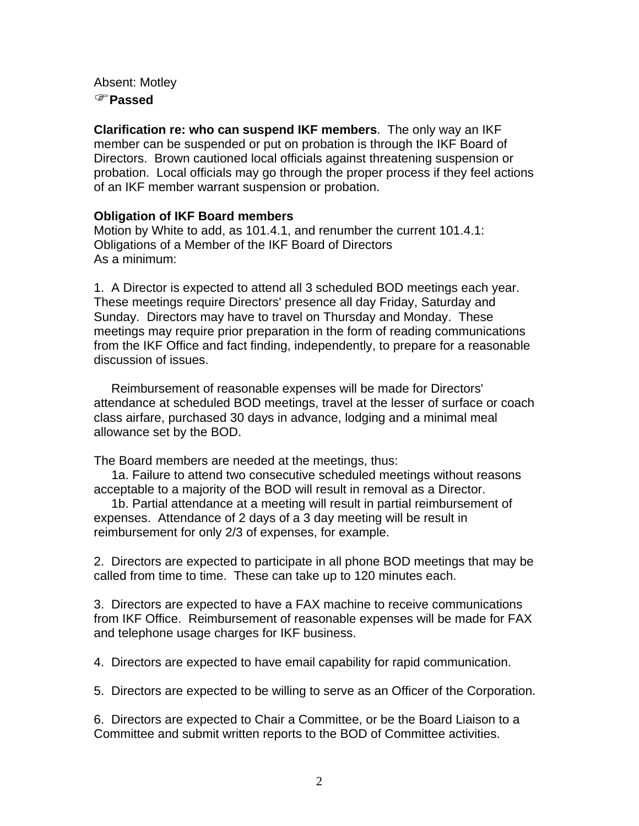Absent: Motley )**Passed**

**Clarification re: who can suspend IKF members**. The only way an IKF member can be suspended or put on probation is through the IKF Board of Directors. Brown cautioned local officials against threatening suspension or probation. Local officials may go through the proper process if they feel actions of an IKF member warrant suspension or probation.

## **Obligation of IKF Board members**

Motion by White to add, as 101.4.1, and renumber the current 101.4.1: Obligations of a Member of the IKF Board of Directors As a minimum:

1. A Director is expected to attend all 3 scheduled BOD meetings each year. These meetings require Directors' presence all day Friday, Saturday and Sunday. Directors may have to travel on Thursday and Monday. These meetings may require prior preparation in the form of reading communications from the IKF Office and fact finding, independently, to prepare for a reasonable discussion of issues.

 Reimbursement of reasonable expenses will be made for Directors' attendance at scheduled BOD meetings, travel at the lesser of surface or coach class airfare, purchased 30 days in advance, lodging and a minimal meal allowance set by the BOD.

The Board members are needed at the meetings, thus:

 1a. Failure to attend two consecutive scheduled meetings without reasons acceptable to a majority of the BOD will result in removal as a Director.

 1b. Partial attendance at a meeting will result in partial reimbursement of expenses. Attendance of 2 days of a 3 day meeting will be result in reimbursement for only 2/3 of expenses, for example.

2. Directors are expected to participate in all phone BOD meetings that may be called from time to time. These can take up to 120 minutes each.

3. Directors are expected to have a FAX machine to receive communications from IKF Office. Reimbursement of reasonable expenses will be made for FAX and telephone usage charges for IKF business.

4. Directors are expected to have email capability for rapid communication.

5. Directors are expected to be willing to serve as an Officer of the Corporation.

6. Directors are expected to Chair a Committee, or be the Board Liaison to a Committee and submit written reports to the BOD of Committee activities.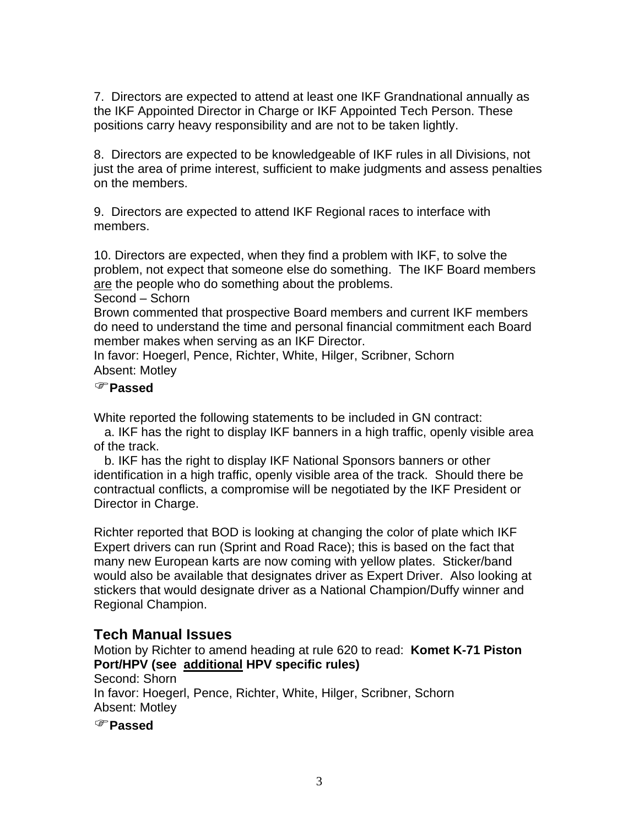7. Directors are expected to attend at least one IKF Grandnational annually as the IKF Appointed Director in Charge or IKF Appointed Tech Person. These positions carry heavy responsibility and are not to be taken lightly.

8. Directors are expected to be knowledgeable of IKF rules in all Divisions, not just the area of prime interest, sufficient to make judgments and assess penalties on the members.

9. Directors are expected to attend IKF Regional races to interface with members.

10. Directors are expected, when they find a problem with IKF, to solve the problem, not expect that someone else do something. The IKF Board members are the people who do something about the problems.

Second – Schorn

Brown commented that prospective Board members and current IKF members do need to understand the time and personal financial commitment each Board member makes when serving as an IKF Director.

In favor: Hoegerl, Pence, Richter, White, Hilger, Scribner, Schorn Absent: Motley

#### )**Passed**

White reported the following statements to be included in GN contract:

 a. IKF has the right to display IKF banners in a high traffic, openly visible area of the track.

 b. IKF has the right to display IKF National Sponsors banners or other identification in a high traffic, openly visible area of the track. Should there be contractual conflicts, a compromise will be negotiated by the IKF President or Director in Charge.

Richter reported that BOD is looking at changing the color of plate which IKF Expert drivers can run (Sprint and Road Race); this is based on the fact that many new European karts are now coming with yellow plates. Sticker/band would also be available that designates driver as Expert Driver. Also looking at stickers that would designate driver as a National Champion/Duffy winner and Regional Champion.

## **Tech Manual Issues**

Motion by Richter to amend heading at rule 620 to read: **Komet K-71 Piston Port/HPV (see additional HPV specific rules)**

Second: Shorn In favor: Hoegerl, Pence, Richter, White, Hilger, Scribner, Schorn Absent: Motley

)**Passed**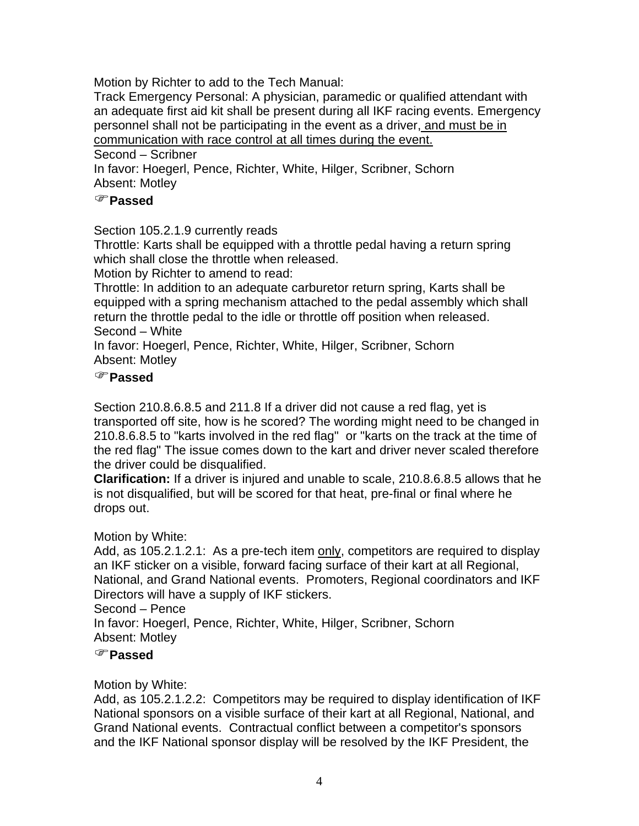Motion by Richter to add to the Tech Manual:

Track Emergency Personal: A physician, paramedic or qualified attendant with an adequate first aid kit shall be present during all IKF racing events. Emergency personnel shall not be participating in the event as a driver, and must be in communication with race control at all times during the event.

Second – Scribner

In favor: Hoegerl, Pence, Richter, White, Hilger, Scribner, Schorn Absent: Motley

## )**Passed**

Section 105.2.1.9 currently reads

Throttle: Karts shall be equipped with a throttle pedal having a return spring which shall close the throttle when released.

Motion by Richter to amend to read:

Throttle: In addition to an adequate carburetor return spring, Karts shall be equipped with a spring mechanism attached to the pedal assembly which shall return the throttle pedal to the idle or throttle off position when released. Second – White

In favor: Hoegerl, Pence, Richter, White, Hilger, Scribner, Schorn Absent: Motley

## )**Passed**

Section 210.8.6.8.5 and 211.8 If a driver did not cause a red flag, yet is transported off site, how is he scored? The wording might need to be changed in 210.8.6.8.5 to "karts involved in the red flag" or "karts on the track at the time of the red flag" The issue comes down to the kart and driver never scaled therefore the driver could be disqualified.

**Clarification:** If a driver is injured and unable to scale, 210.8.6.8.5 allows that he is not disqualified, but will be scored for that heat, pre-final or final where he drops out.

## Motion by White:

Add, as 105.2.1.2.1: As a pre-tech item only, competitors are required to display an IKF sticker on a visible, forward facing surface of their kart at all Regional, National, and Grand National events. Promoters, Regional coordinators and IKF Directors will have a supply of IKF stickers.

## Second – Pence

In favor: Hoegerl, Pence, Richter, White, Hilger, Scribner, Schorn Absent: Motley

## )**Passed**

## Motion by White:

Add, as 105.2.1.2.2: Competitors may be required to display identification of IKF National sponsors on a visible surface of their kart at all Regional, National, and Grand National events. Contractual conflict between a competitor's sponsors and the IKF National sponsor display will be resolved by the IKF President, the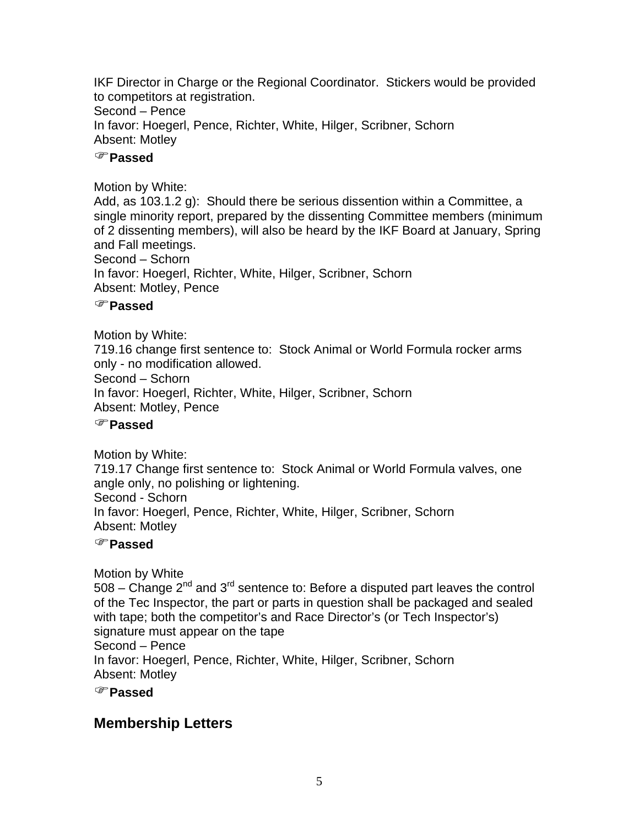IKF Director in Charge or the Regional Coordinator. Stickers would be provided to competitors at registration. Second – Pence In favor: Hoegerl, Pence, Richter, White, Hilger, Scribner, Schorn Absent: Motley

## )**Passed**

## Motion by White:

Add, as 103.1.2 g): Should there be serious dissention within a Committee, a single minority report, prepared by the dissenting Committee members (minimum of 2 dissenting members), will also be heard by the IKF Board at January, Spring and Fall meetings. Second – Schorn

In favor: Hoegerl, Richter, White, Hilger, Scribner, Schorn Absent: Motley, Pence

## )**Passed**

Motion by White:

719.16 change first sentence to: Stock Animal or World Formula rocker arms only - no modification allowed.

Second – Schorn

In favor: Hoegerl, Richter, White, Hilger, Scribner, Schorn

Absent: Motley, Pence

## )**Passed**

Motion by White:

719.17 Change first sentence to: Stock Animal or World Formula valves, one angle only, no polishing or lightening.

Second - Schorn

In favor: Hoegerl, Pence, Richter, White, Hilger, Scribner, Schorn Absent: Motley

## )**Passed**

Motion by White  $508 -$  Change  $2^{nd}$  and  $3^{rd}$  sentence to: Before a disputed part leaves the control of the Tec Inspector, the part or parts in question shall be packaged and sealed with tape; both the competitor's and Race Director's (or Tech Inspector's) signature must appear on the tape Second – Pence In favor: Hoegerl, Pence, Richter, White, Hilger, Scribner, Schorn Absent: Motley

)**Passed**

## **Membership Letters**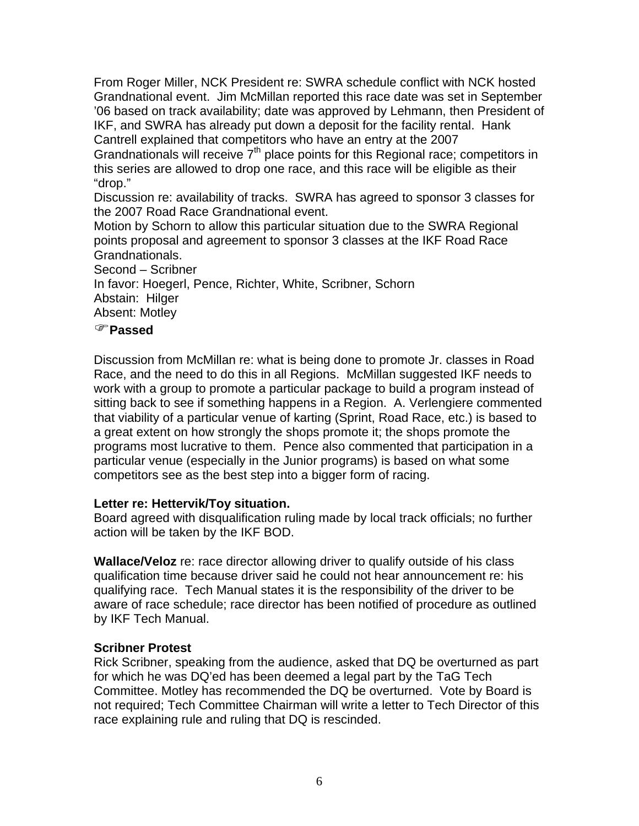From Roger Miller, NCK President re: SWRA schedule conflict with NCK hosted Grandnational event. Jim McMillan reported this race date was set in September '06 based on track availability; date was approved by Lehmann, then President of IKF, and SWRA has already put down a deposit for the facility rental. Hank Cantrell explained that competitors who have an entry at the 2007

Grandnationals will receive  $7<sup>th</sup>$  place points for this Regional race; competitors in this series are allowed to drop one race, and this race will be eligible as their "drop."

Discussion re: availability of tracks. SWRA has agreed to sponsor 3 classes for the 2007 Road Race Grandnational event.

Motion by Schorn to allow this particular situation due to the SWRA Regional points proposal and agreement to sponsor 3 classes at the IKF Road Race Grandnationals.

Second – Scribner

In favor: Hoegerl, Pence, Richter, White, Scribner, Schorn

Abstain: Hilger

Absent: Motley

## )**Passed**

Discussion from McMillan re: what is being done to promote Jr. classes in Road Race, and the need to do this in all Regions. McMillan suggested IKF needs to work with a group to promote a particular package to build a program instead of sitting back to see if something happens in a Region. A. Verlengiere commented that viability of a particular venue of karting (Sprint, Road Race, etc.) is based to a great extent on how strongly the shops promote it; the shops promote the programs most lucrative to them. Pence also commented that participation in a particular venue (especially in the Junior programs) is based on what some competitors see as the best step into a bigger form of racing.

## **Letter re: Hettervik/Toy situation.**

Board agreed with disqualification ruling made by local track officials; no further action will be taken by the IKF BOD.

**Wallace/Veloz** re: race director allowing driver to qualify outside of his class qualification time because driver said he could not hear announcement re: his qualifying race. Tech Manual states it is the responsibility of the driver to be aware of race schedule; race director has been notified of procedure as outlined by IKF Tech Manual.

## **Scribner Protest**

Rick Scribner, speaking from the audience, asked that DQ be overturned as part for which he was DQ'ed has been deemed a legal part by the TaG Tech Committee. Motley has recommended the DQ be overturned. Vote by Board is not required; Tech Committee Chairman will write a letter to Tech Director of this race explaining rule and ruling that DQ is rescinded.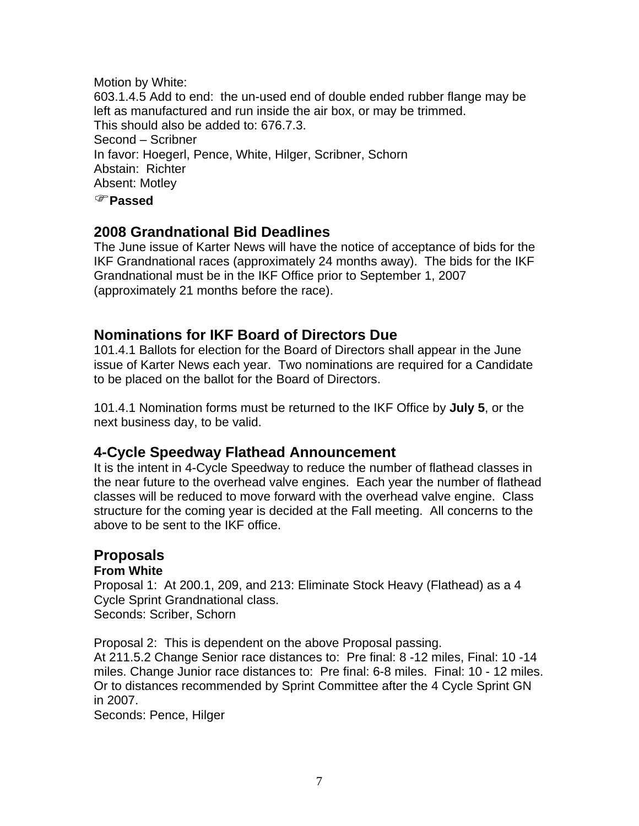Motion by White: 603.1.4.5 Add to end: the un-used end of double ended rubber flange may be left as manufactured and run inside the air box, or may be trimmed. This should also be added to: 676.7.3. Second – Scribner In favor: Hoegerl, Pence, White, Hilger, Scribner, Schorn Abstain: Richter Absent: Motley )**Passed**

## **2008 Grandnational Bid Deadlines**

The June issue of Karter News will have the notice of acceptance of bids for the IKF Grandnational races (approximately 24 months away). The bids for the IKF Grandnational must be in the IKF Office prior to September 1, 2007 (approximately 21 months before the race).

## **Nominations for IKF Board of Directors Due**

101.4.1 Ballots for election for the Board of Directors shall appear in the June issue of Karter News each year. Two nominations are required for a Candidate to be placed on the ballot for the Board of Directors.

101.4.1 Nomination forms must be returned to the IKF Office by **July 5**, or the next business day, to be valid.

## **4-Cycle Speedway Flathead Announcement**

It is the intent in 4-Cycle Speedway to reduce the number of flathead classes in the near future to the overhead valve engines. Each year the number of flathead classes will be reduced to move forward with the overhead valve engine. Class structure for the coming year is decided at the Fall meeting. All concerns to the above to be sent to the IKF office.

## **Proposals**

## **From White**

Proposal 1: At 200.1, 209, and 213: Eliminate Stock Heavy (Flathead) as a 4 Cycle Sprint Grandnational class. Seconds: Scriber, Schorn

Proposal 2: This is dependent on the above Proposal passing. At 211.5.2 Change Senior race distances to: Pre final: 8 -12 miles, Final: 10 -14 miles. Change Junior race distances to: Pre final: 6-8 miles. Final: 10 - 12 miles. Or to distances recommended by Sprint Committee after the 4 Cycle Sprint GN in 2007.

Seconds: Pence, Hilger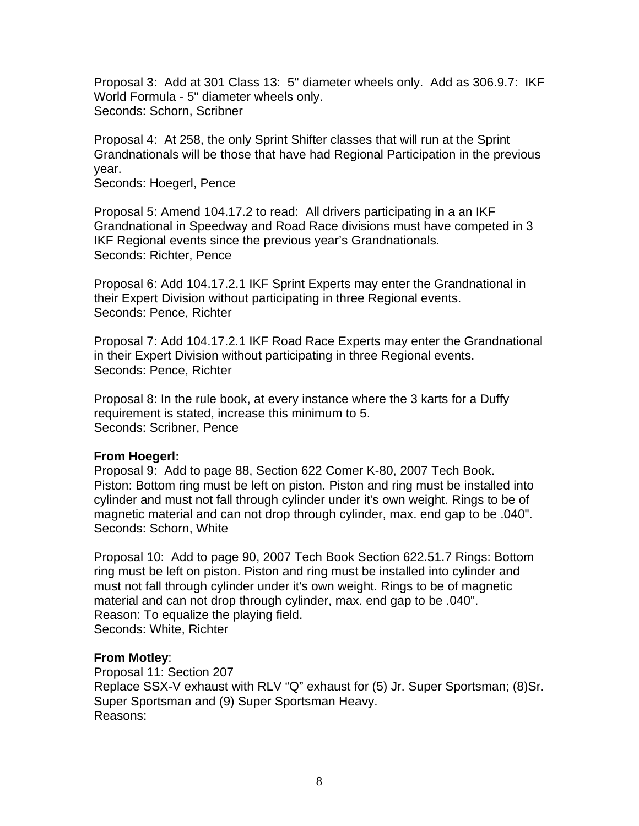Proposal 3: Add at 301 Class 13: 5" diameter wheels only. Add as 306.9.7: IKF World Formula - 5" diameter wheels only. Seconds: Schorn, Scribner

Proposal 4: At 258, the only Sprint Shifter classes that will run at the Sprint Grandnationals will be those that have had Regional Participation in the previous year.

Seconds: Hoegerl, Pence

Proposal 5: Amend 104.17.2 to read: All drivers participating in a an IKF Grandnational in Speedway and Road Race divisions must have competed in 3 IKF Regional events since the previous year's Grandnationals. Seconds: Richter, Pence

Proposal 6: Add 104.17.2.1 IKF Sprint Experts may enter the Grandnational in their Expert Division without participating in three Regional events. Seconds: Pence, Richter

Proposal 7: Add 104.17.2.1 IKF Road Race Experts may enter the Grandnational in their Expert Division without participating in three Regional events. Seconds: Pence, Richter

Proposal 8: In the rule book, at every instance where the 3 karts for a Duffy requirement is stated, increase this minimum to 5. Seconds: Scribner, Pence

#### **From Hoegerl:**

Proposal 9: Add to page 88, Section 622 Comer K-80, 2007 Tech Book. Piston: Bottom ring must be left on piston. Piston and ring must be installed into cylinder and must not fall through cylinder under it's own weight. Rings to be of magnetic material and can not drop through cylinder, max. end gap to be .040". Seconds: Schorn, White

Proposal 10: Add to page 90, 2007 Tech Book Section 622.51.7 Rings: Bottom ring must be left on piston. Piston and ring must be installed into cylinder and must not fall through cylinder under it's own weight. Rings to be of magnetic material and can not drop through cylinder, max. end gap to be .040". Reason: To equalize the playing field. Seconds: White, Richter

## **From Motley**:

Proposal 11: Section 207 Replace SSX-V exhaust with RLV "Q" exhaust for (5) Jr. Super Sportsman; (8)Sr. Super Sportsman and (9) Super Sportsman Heavy. Reasons: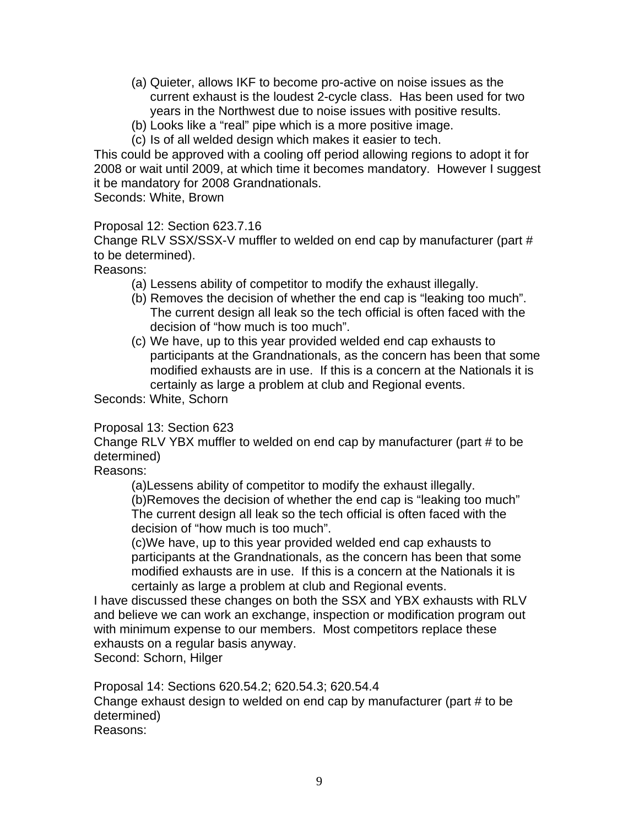- (a) Quieter, allows IKF to become pro-active on noise issues as the current exhaust is the loudest 2-cycle class. Has been used for two years in the Northwest due to noise issues with positive results.
- (b) Looks like a "real" pipe which is a more positive image.
- (c) Is of all welded design which makes it easier to tech.

This could be approved with a cooling off period allowing regions to adopt it for 2008 or wait until 2009, at which time it becomes mandatory. However I suggest it be mandatory for 2008 Grandnationals.

Seconds: White, Brown

## Proposal 12: Section 623.7.16

Change RLV SSX/SSX-V muffler to welded on end cap by manufacturer (part # to be determined).

Reasons:

- (a) Lessens ability of competitor to modify the exhaust illegally.
- (b) Removes the decision of whether the end cap is "leaking too much". The current design all leak so the tech official is often faced with the decision of "how much is too much".
- (c) We have, up to this year provided welded end cap exhausts to participants at the Grandnationals, as the concern has been that some modified exhausts are in use. If this is a concern at the Nationals it is certainly as large a problem at club and Regional events.

Seconds: White, Schorn

## Proposal 13: Section 623

Change RLV YBX muffler to welded on end cap by manufacturer (part # to be determined)

Reasons:

(a)Lessens ability of competitor to modify the exhaust illegally.

(b)Removes the decision of whether the end cap is "leaking too much" The current design all leak so the tech official is often faced with the decision of "how much is too much".

(c)We have, up to this year provided welded end cap exhausts to participants at the Grandnationals, as the concern has been that some modified exhausts are in use. If this is a concern at the Nationals it is certainly as large a problem at club and Regional events.

I have discussed these changes on both the SSX and YBX exhausts with RLV and believe we can work an exchange, inspection or modification program out with minimum expense to our members. Most competitors replace these exhausts on a regular basis anyway.

Second: Schorn, Hilger

Proposal 14: Sections 620.54.2; 620.54.3; 620.54.4

Change exhaust design to welded on end cap by manufacturer (part # to be determined)

Reasons: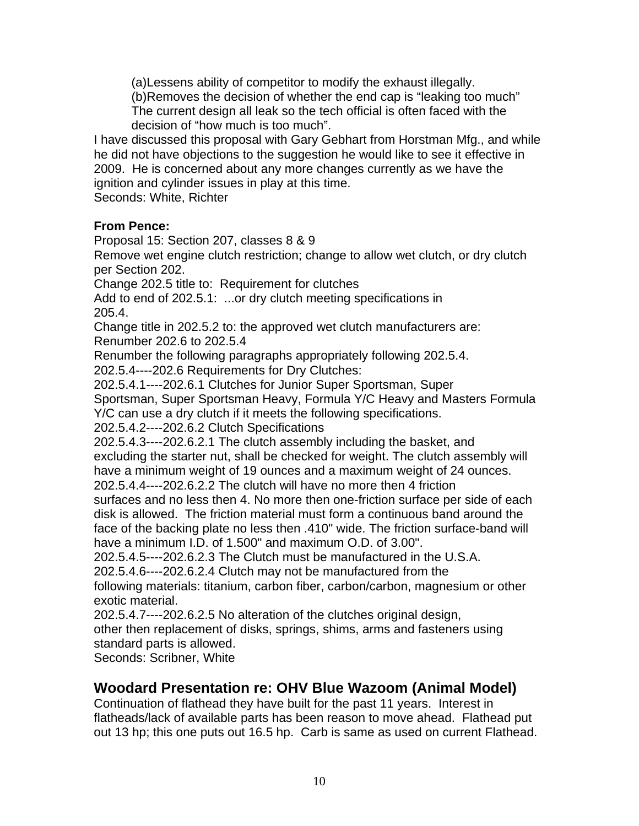(a)Lessens ability of competitor to modify the exhaust illegally.

(b)Removes the decision of whether the end cap is "leaking too much" The current design all leak so the tech official is often faced with the decision of "how much is too much".

I have discussed this proposal with Gary Gebhart from Horstman Mfg., and while he did not have objections to the suggestion he would like to see it effective in 2009. He is concerned about any more changes currently as we have the ignition and cylinder issues in play at this time.

Seconds: White, Richter

## **From Pence:**

Proposal 15: Section 207, classes 8 & 9

Remove wet engine clutch restriction; change to allow wet clutch, or dry clutch per Section 202.

Change 202.5 title to: Requirement for clutches

Add to end of 202.5.1: ...or dry clutch meeting specifications in 205.4.

Change title in 202.5.2 to: the approved wet clutch manufacturers are: Renumber 202.6 to 202.5.4

Renumber the following paragraphs appropriately following 202.5.4.

202.5.4----202.6 Requirements for Dry Clutches:

202.5.4.1----202.6.1 Clutches for Junior Super Sportsman, Super

Sportsman, Super Sportsman Heavy, Formula Y/C Heavy and Masters Formula Y/C can use a dry clutch if it meets the following specifications.

202.5.4.2----202.6.2 Clutch Specifications

202.5.4.3----202.6.2.1 The clutch assembly including the basket, and excluding the starter nut, shall be checked for weight. The clutch assembly will have a minimum weight of 19 ounces and a maximum weight of 24 ounces.

202.5.4.4----202.6.2.2 The clutch will have no more then 4 friction surfaces and no less then 4. No more then one-friction surface per side of each disk is allowed. The friction material must form a continuous band around the face of the backing plate no less then .410" wide. The friction surface-band will have a minimum I.D. of 1.500" and maximum O.D. of 3.00".

202.5.4.5----202.6.2.3 The Clutch must be manufactured in the U.S.A.

202.5.4.6----202.6.2.4 Clutch may not be manufactured from the

following materials: titanium, carbon fiber, carbon/carbon, magnesium or other exotic material.

202.5.4.7----202.6.2.5 No alteration of the clutches original design,

other then replacement of disks, springs, shims, arms and fasteners using standard parts is allowed.

Seconds: Scribner, White

## **Woodard Presentation re: OHV Blue Wazoom (Animal Model)**

Continuation of flathead they have built for the past 11 years. Interest in flatheads/lack of available parts has been reason to move ahead. Flathead put out 13 hp; this one puts out 16.5 hp. Carb is same as used on current Flathead.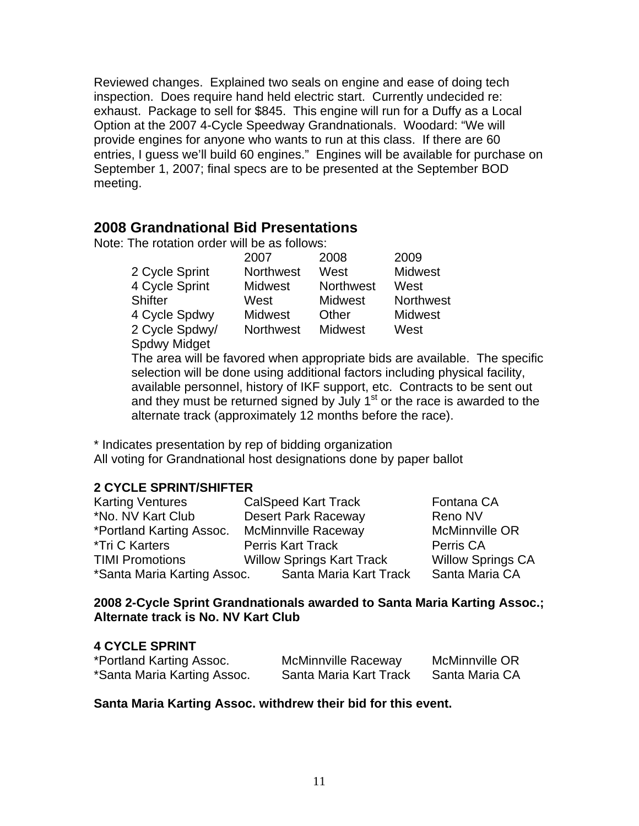Reviewed changes. Explained two seals on engine and ease of doing tech inspection. Does require hand held electric start. Currently undecided re: exhaust. Package to sell for \$845. This engine will run for a Duffy as a Local Option at the 2007 4-Cycle Speedway Grandnationals. Woodard: "We will provide engines for anyone who wants to run at this class. If there are 60 entries, I guess we'll build 60 engines." Engines will be available for purchase on September 1, 2007; final specs are to be presented at the September BOD meeting.

## **2008 Grandnational Bid Presentations**

Note: The rotation order will be as follows:

|                     | 2007             | 2008             | 2009             |
|---------------------|------------------|------------------|------------------|
| 2 Cycle Sprint      | <b>Northwest</b> | West             | <b>Midwest</b>   |
| 4 Cycle Sprint      | <b>Midwest</b>   | <b>Northwest</b> | West             |
| Shifter             | West             | <b>Midwest</b>   | <b>Northwest</b> |
| 4 Cycle Spdwy       | <b>Midwest</b>   | Other            | <b>Midwest</b>   |
| 2 Cycle Spdwy/      | <b>Northwest</b> | <b>Midwest</b>   | West             |
| <b>Spdwy Midget</b> |                  |                  |                  |

The area will be favored when appropriate bids are available. The specific selection will be done using additional factors including physical facility, available personnel, history of IKF support, etc. Contracts to be sent out and they must be returned signed by July  $1<sup>st</sup>$  or the race is awarded to the alternate track (approximately 12 months before the race).

\* Indicates presentation by rep of bidding organization All voting for Grandnational host designations done by paper ballot

## **2 CYCLE SPRINT/SHIFTER**

| <b>Karting Ventures</b>     | <b>CalSpeed Kart Track</b>       | Fontana CA               |
|-----------------------------|----------------------------------|--------------------------|
| *No. NV Kart Club           | <b>Desert Park Raceway</b>       | Reno NV                  |
| *Portland Karting Assoc.    | <b>McMinnville Raceway</b>       | <b>McMinnville OR</b>    |
| *Tri C Karters              | <b>Perris Kart Track</b>         | Perris CA                |
| <b>TIMI Promotions</b>      | <b>Willow Springs Kart Track</b> | <b>Willow Springs CA</b> |
| *Santa Maria Karting Assoc. | Santa Maria Kart Track           | Santa Maria CA           |

## **2008 2-Cycle Sprint Grandnationals awarded to Santa Maria Karting Assoc.; Alternate track is No. NV Kart Club**

## **4 CYCLE SPRINT**

| *Portland Karting Assoc.    | <b>McMinnville Raceway</b> | <b>McMinnville OR</b> |
|-----------------------------|----------------------------|-----------------------|
| *Santa Maria Karting Assoc. | Santa Maria Kart Track     | Santa Maria CA        |

## **Santa Maria Karting Assoc. withdrew their bid for this event.**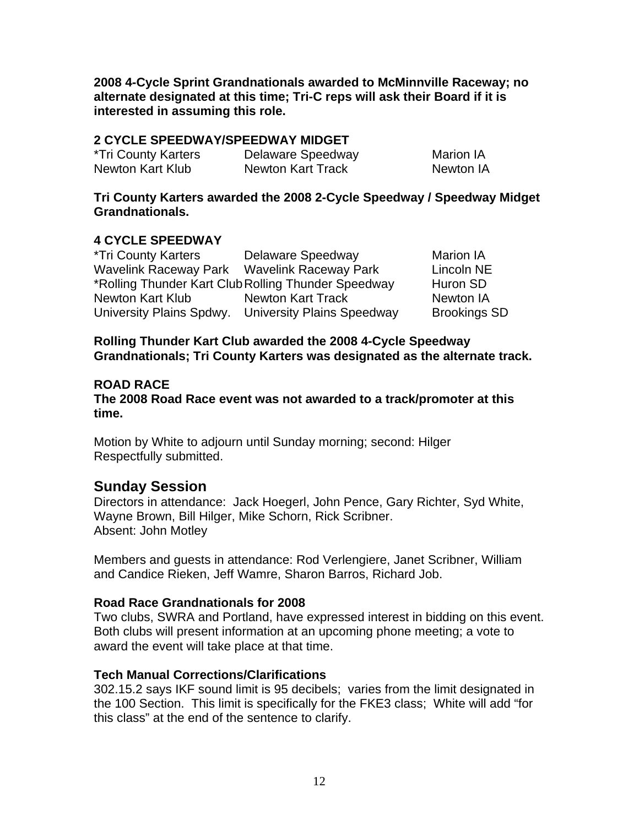**2008 4-Cycle Sprint Grandnationals awarded to McMinnville Raceway; no alternate designated at this time; Tri-C reps will ask their Board if it is interested in assuming this role.**

## **2 CYCLE SPEEDWAY/SPEEDWAY MIDGET**

| *Tri County Karters | Delaware Speedway        | Marion IA |
|---------------------|--------------------------|-----------|
| Newton Kart Klub    | <b>Newton Kart Track</b> | Newton IA |

**Tri County Karters awarded the 2008 2-Cycle Speedway / Speedway Midget Grandnationals.** 

## **4 CYCLE SPEEDWAY**

| *Tri County Karters                         | Delaware Speedway                                   | <b>Marion IA</b>    |
|---------------------------------------------|-----------------------------------------------------|---------------------|
| Wavelink Raceway Park Wavelink Raceway Park |                                                     | Lincoln NE          |
|                                             | *Rolling Thunder Kart Club Rolling Thunder Speedway | Huron SD            |
| Newton Kart Klub                            | Newton Kart Track                                   | Newton IA           |
|                                             | University Plains Spdwy. University Plains Speedway | <b>Brookings SD</b> |

**Rolling Thunder Kart Club awarded the 2008 4-Cycle Speedway Grandnationals; Tri County Karters was designated as the alternate track.** 

## **ROAD RACE**

**The 2008 Road Race event was not awarded to a track/promoter at this time.** 

Motion by White to adjourn until Sunday morning; second: Hilger Respectfully submitted.

## **Sunday Session**

Directors in attendance: Jack Hoegerl, John Pence, Gary Richter, Syd White, Wayne Brown, Bill Hilger, Mike Schorn, Rick Scribner. Absent: John Motley

Members and guests in attendance: Rod Verlengiere, Janet Scribner, William and Candice Rieken, Jeff Wamre, Sharon Barros, Richard Job.

## **Road Race Grandnationals for 2008**

Two clubs, SWRA and Portland, have expressed interest in bidding on this event. Both clubs will present information at an upcoming phone meeting; a vote to award the event will take place at that time.

## **Tech Manual Corrections/Clarifications**

302.15.2 says IKF sound limit is 95 decibels; varies from the limit designated in the 100 Section. This limit is specifically for the FKE3 class; White will add "for this class" at the end of the sentence to clarify.